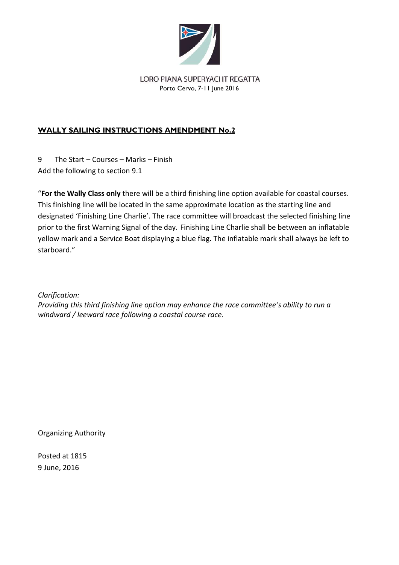

#### LORO PIANA SUPERYACHT REGATTA Porto Cervo, 7-11 June 2016

# **WALLY SAILING INSTRUCTIONS AMENDMENT No.2**

9 The Start – Courses – Marks – Finish Add the following to section 9.1

"**For the Wally Class only** there will be a third finishing line option available for coastal courses. This finishing line will be located in the same approximate location as the starting line and designated 'Finishing Line Charlie'. The race committee will broadcast the selected finishing line prior to the first Warning Signal of the day. Finishing Line Charlie shall be between an inflatable yellow mark and a Service Boat displaying a blue flag. The inflatable mark shall always be left to starboard."

*Clarification:*

*Providing this third finishing line option may enhance the race committee's ability to run a windward / leeward race following a coastal course race.*

Organizing Authority

Posted at 1815 9 June, 2016